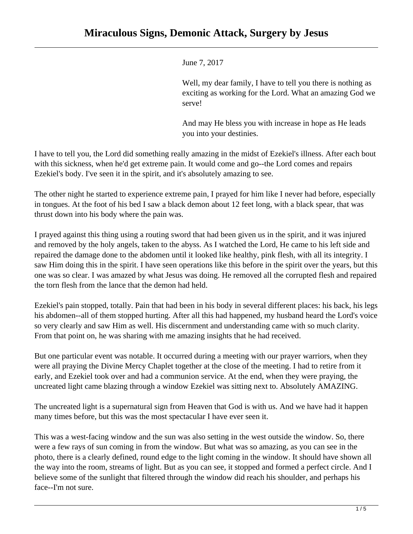

## June 7, 2017

Well, my dear family, I have to tell you there is nothing as exciting as working for the Lord. What an amazing God we serve!

And may He bless you with increase in hope as He leads you into your destinies.

I have to tell you, the Lord did something really amazing in the midst of Ezekiel's illness. After each bout with this sickness, when he'd get extreme pain. It would come and go--the Lord comes and repairs Ezekiel's body. I've seen it in the spirit, and it's absolutely amazing to see.

The other night he started to experience extreme pain, I prayed for him like I never had before, especially in tongues. At the foot of his bed I saw a black demon about 12 feet long, with a black spear, that was thrust down into his body where the pain was.

I prayed against this thing using a routing sword that had been given us in the spirit, and it was injured and removed by the holy angels, taken to the abyss. As I watched the Lord, He came to his left side and repaired the damage done to the abdomen until it looked like healthy, pink flesh, with all its integrity. I saw Him doing this in the spirit. I have seen operations like this before in the spirit over the years, but this one was so clear. I was amazed by what Jesus was doing. He removed all the corrupted flesh and repaired the torn flesh from the lance that the demon had held.

Ezekiel's pain stopped, totally. Pain that had been in his body in several different places: his back, his legs his abdomen--all of them stopped hurting. After all this had happened, my husband heard the Lord's voice so very clearly and saw Him as well. His discernment and understanding came with so much clarity. From that point on, he was sharing with me amazing insights that he had received.

But one particular event was notable. It occurred during a meeting with our prayer warriors, when they were all praying the Divine Mercy Chaplet together at the close of the meeting. I had to retire from it early, and Ezekiel took over and had a communion service. At the end, when they were praying, the uncreated light came blazing through a window Ezekiel was sitting next to. Absolutely AMAZING.

The uncreated light is a supernatural sign from Heaven that God is with us. And we have had it happen many times before, but this was the most spectacular I have ever seen it.

This was a west-facing window and the sun was also setting in the west outside the window. So, there were a few rays of sun coming in from the window. But what was so amazing, as you can see in the photo, there is a clearly defined, round edge to the light coming in the window. It should have shown all the way into the room, streams of light. But as you can see, it stopped and formed a perfect circle. And I believe some of the sunlight that filtered through the window did reach his shoulder, and perhaps his face--I'm not sure.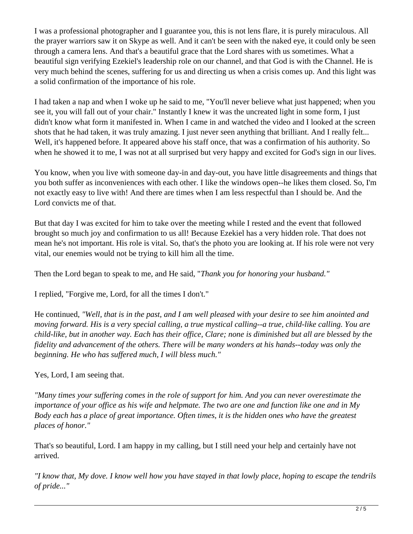I was a professional photographer and I guarantee you, this is not lens flare, it is purely miraculous. All the prayer warriors saw it on Skype as well. And it can't be seen with the naked eye, it could only be seen through a camera lens. And that's a beautiful grace that the Lord shares with us sometimes. What a beautiful sign verifying Ezekiel's leadership role on our channel, and that God is with the Channel. He is very much behind the scenes, suffering for us and directing us when a crisis comes up. And this light was a solid confirmation of the importance of his role.

I had taken a nap and when I woke up he said to me, "You'll never believe what just happened; when you see it, you will fall out of your chair." Instantly I knew it was the uncreated light in some form, I just didn't know what form it manifested in. When I came in and watched the video and I looked at the screen shots that he had taken, it was truly amazing. I just never seen anything that brilliant. And I really felt... Well, it's happened before. It appeared above his staff once, that was a confirmation of his authority. So when he showed it to me, I was not at all surprised but very happy and excited for God's sign in our lives.

You know, when you live with someone day-in and day-out, you have little disagreements and things that you both suffer as inconveniences with each other. I like the windows open--he likes them closed. So, I'm not exactly easy to live with! And there are times when I am less respectful than I should be. And the Lord convicts me of that.

But that day I was excited for him to take over the meeting while I rested and the event that followed brought so much joy and confirmation to us all! Because Ezekiel has a very hidden role. That does not mean he's not important. His role is vital. So, that's the photo you are looking at. If his role were not very vital, our enemies would not be trying to kill him all the time.

Then the Lord began to speak to me, and He said, "*Thank you for honoring your husband."*

I replied, "Forgive me, Lord, for all the times I don't."

He continued, *"Well, that is in the past, and I am well pleased with your desire to see him anointed and moving forward. His is a very special calling, a true mystical calling--a true, child-like calling. You are child-like, but in another way. Each has their office, Clare; none is diminished but all are blessed by the fidelity and advancement of the others. There will be many wonders at his hands--today was only the beginning. He who has suffered much, I will bless much."*

Yes, Lord, I am seeing that.

*"Many times your suffering comes in the role of support for him. And you can never overestimate the importance of your office as his wife and helpmate. The two are one and function like one and in My Body each has a place of great importance. Often times, it is the hidden ones who have the greatest places of honor."*

That's so beautiful, Lord. I am happy in my calling, but I still need your help and certainly have not arrived.

*"I know that, My dove. I know well how you have stayed in that lowly place, hoping to escape the tendrils of pride..."*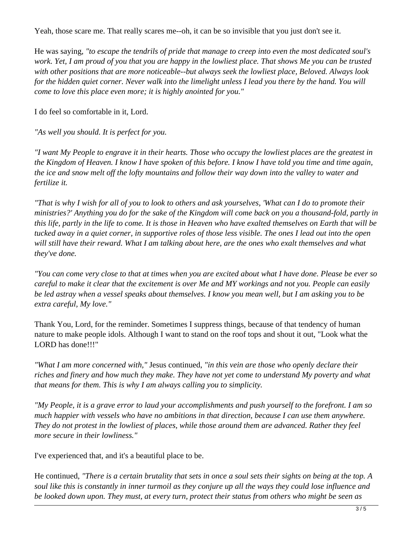Yeah, those scare me. That really scares me--oh, it can be so invisible that you just don't see it.

He was saying, *"to escape the tendrils of pride that manage to creep into even the most dedicated soul's work. Yet, I am proud of you that you are happy in the lowliest place. That shows Me you can be trusted with other positions that are more noticeable--but always seek the lowliest place, Beloved. Always look for the hidden quiet corner. Never walk into the limelight unless I lead you there by the hand. You will come to love this place even more; it is highly anointed for you."*

I do feel so comfortable in it, Lord.

*"As well you should. It is perfect for you.*

*"I want My People to engrave it in their hearts. Those who occupy the lowliest places are the greatest in the Kingdom of Heaven. I know I have spoken of this before. I know I have told you time and time again, the ice and snow melt off the lofty mountains and follow their way down into the valley to water and fertilize it.* 

*"That is why I wish for all of you to look to others and ask yourselves, 'What can I do to promote their ministries?' Anything you do for the sake of the Kingdom will come back on you a thousand-fold, partly in this life, partly in the life to come. It is those in Heaven who have exalted themselves on Earth that will be tucked away in a quiet corner, in supportive roles of those less visible. The ones I lead out into the open will still have their reward. What I am talking about here, are the ones who exalt themselves and what they've done.*

*"You can come very close to that at times when you are excited about what I have done. Please be ever so careful to make it clear that the excitement is over Me and MY workings and not you. People can easily be led astray when a vessel speaks about themselves. I know you mean well, but I am asking you to be extra careful, My love."*

Thank You, Lord, for the reminder. Sometimes I suppress things, because of that tendency of human nature to make people idols. Although I want to stand on the roof tops and shout it out, "Look what the LORD has done!!!"

*"What I am more concerned with,"* Jesus continued, *"in this vein are those who openly declare their riches and finery and how much they make. They have not yet come to understand My poverty and what that means for them. This is why I am always calling you to simplicity.* 

*"My People, it is a grave error to laud your accomplishments and push yourself to the forefront. I am so much happier with vessels who have no ambitions in that direction, because I can use them anywhere. They do not protest in the lowliest of places, while those around them are advanced. Rather they feel more secure in their lowliness."*

I've experienced that, and it's a beautiful place to be.

He continued, *"There is a certain brutality that sets in once a soul sets their sights on being at the top. A soul like this is constantly in inner turmoil as they conjure up all the ways they could lose influence and be looked down upon. They must, at every turn, protect their status from others who might be seen as*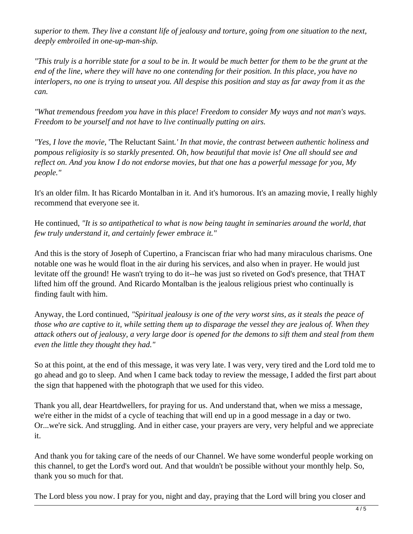*superior to them. They live a constant life of jealousy and torture, going from one situation to the next, deeply embroiled in one-up-man-ship.*

*"This truly is a horrible state for a soul to be in. It would be much better for them to be the grunt at the end of the line, where they will have no one contending for their position. In this place, you have no interlopers, no one is trying to unseat you. All despise this position and stay as far away from it as the can.*

*"What tremendous freedom you have in this place! Freedom to consider My ways and not man's ways. Freedom to be yourself and not have to live continually putting on airs.* 

*"Yes, I love the movie,* 'The Reluctant Saint*.' In that movie, the contrast between authentic holiness and pompous religiosity is so starkly presented. Oh, how beautiful that movie is! One all should see and reflect on. And you know I do not endorse movies, but that one has a powerful message for you, My people."*

It's an older film. It has Ricardo Montalban in it. And it's humorous. It's an amazing movie, I really highly recommend that everyone see it.

He continued, *"It is so antipathetical to what is now being taught in seminaries around the world, that few truly understand it, and certainly fewer embrace it."*

And this is the story of Joseph of Cupertino, a Franciscan friar who had many miraculous charisms. One notable one was he would float in the air during his services, and also when in prayer. He would just levitate off the ground! He wasn't trying to do it--he was just so riveted on God's presence, that THAT lifted him off the ground. And Ricardo Montalban is the jealous religious priest who continually is finding fault with him.

Anyway, the Lord continued, *"Spiritual jealousy is one of the very worst sins, as it steals the peace of those who are captive to it, while setting them up to disparage the vessel they are jealous of. When they attack others out of jealousy, a very large door is opened for the demons to sift them and steal from them even the little they thought they had."*

So at this point, at the end of this message, it was very late. I was very, very tired and the Lord told me to go ahead and go to sleep. And when I came back today to review the message, I added the first part about the sign that happened with the photograph that we used for this video.

Thank you all, dear Heartdwellers, for praying for us. And understand that, when we miss a message, we're either in the midst of a cycle of teaching that will end up in a good message in a day or two. Or...we're sick. And struggling. And in either case, your prayers are very, very helpful and we appreciate it.

And thank you for taking care of the needs of our Channel. We have some wonderful people working on this channel, to get the Lord's word out. And that wouldn't be possible without your monthly help. So, thank you so much for that.

The Lord bless you now. I pray for you, night and day, praying that the Lord will bring you closer and